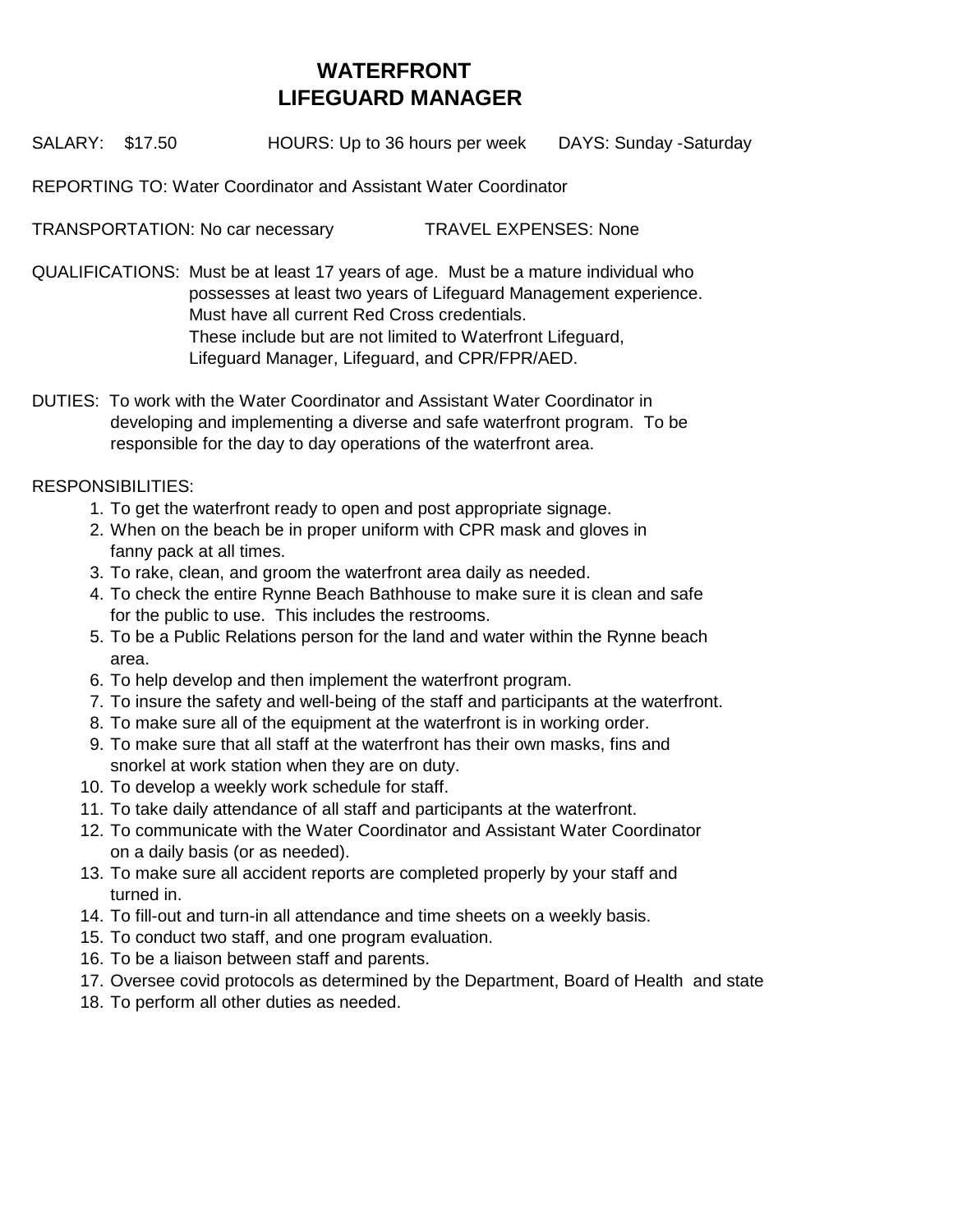## **WATERFRONT LIFEGUARD MANAGER**

SALARY: \$17.50 HOURS: Up to 36 hours per week DAYS: Sunday -Saturday

REPORTING TO: Water Coordinator and Assistant Water Coordinator

TRANSPORTATION: No car necessary TRAVEL EXPENSES: None

QUALIFICATIONS: Must be at least 17 years of age. Must be a mature individual who possesses at least two years of Lifeguard Management experience. Must have all current Red Cross credentials. These include but are not limited to Waterfront Lifeguard, Lifeguard Manager, Lifeguard, and CPR/FPR/AED.

DUTIES: To work with the Water Coordinator and Assistant Water Coordinator in developing and implementing a diverse and safe waterfront program. To be responsible for the day to day operations of the waterfront area.

RESPONSIBILITIES:

- 1. To get the waterfront ready to open and post appropriate signage.
- 2. When on the beach be in proper uniform with CPR mask and gloves in fanny pack at all times.
- 3. To rake, clean, and groom the waterfront area daily as needed.
- 4. To check the entire Rynne Beach Bathhouse to make sure it is clean and safe for the public to use. This includes the restrooms.
- 5. To be a Public Relations person for the land and water within the Rynne beach area.
- 6. To help develop and then implement the waterfront program.
- 7. To insure the safety and well-being of the staff and participants at the waterfront.
- 8. To make sure all of the equipment at the waterfront is in working order.
- 9. To make sure that all staff at the waterfront has their own masks, fins and snorkel at work station when they are on duty.
- 10. To develop a weekly work schedule for staff.
- 11. To take daily attendance of all staff and participants at the waterfront.
- 12. To communicate with the Water Coordinator and Assistant Water Coordinator on a daily basis (or as needed).
- 13. To make sure all accident reports are completed properly by your staff and turned in.
- 14. To fill-out and turn-in all attendance and time sheets on a weekly basis.
- 15. To conduct two staff, and one program evaluation.
- 16. To be a liaison between staff and parents.
- 17. Oversee covid protocols as determined by the Department, Board of Health and state
- 18. To perform all other duties as needed.